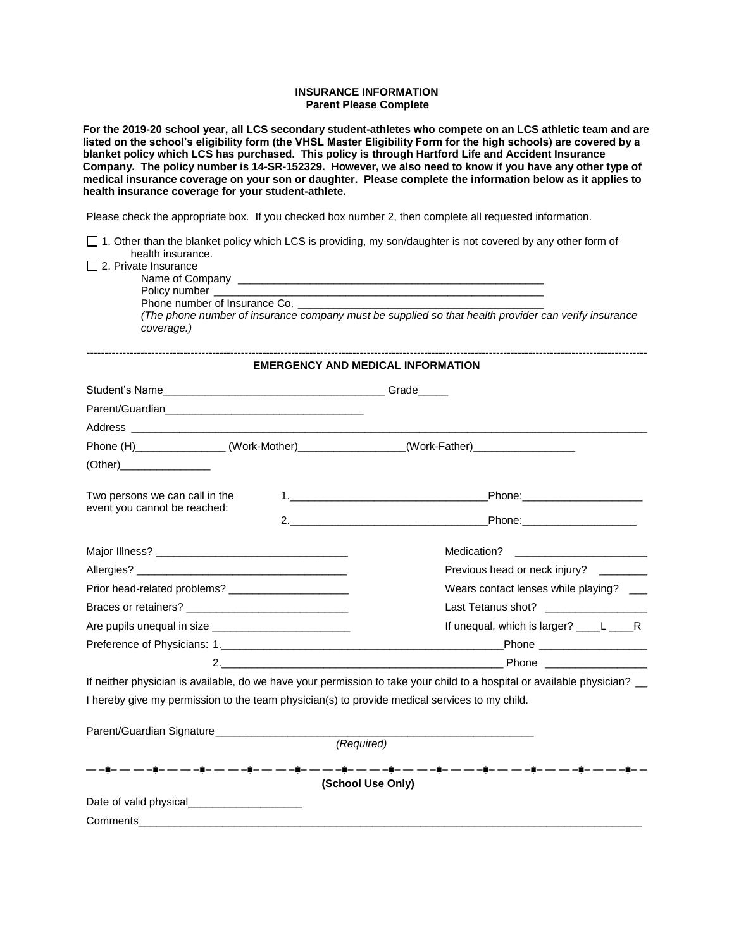## **INSURANCE INFORMATION Parent Please Complete**

**For the 2019-20 school year, all LCS secondary student-athletes who compete on an LCS athletic team and are listed on the school's eligibility form (the VHSL Master Eligibility Form for the high schools) are covered by a blanket policy which LCS has purchased. This policy is through Hartford Life and Accident Insurance Company. The policy number is 14-SR-152329. However, we also need to know if you have any other type of medical insurance coverage on your son or daughter. Please complete the information below as it applies to health insurance coverage for your student-athlete.** 

Please check the appropriate box. If you checked box number 2, then complete all requested information.

|                                                                                                                                                                                                                                      | $\Box$ 1. Other than the blanket policy which LCS is providing, my son/daughter is not covered by any other form of                                                                                                            |  |  |  |
|--------------------------------------------------------------------------------------------------------------------------------------------------------------------------------------------------------------------------------------|--------------------------------------------------------------------------------------------------------------------------------------------------------------------------------------------------------------------------------|--|--|--|
| health insurance.<br>2. Private Insurance                                                                                                                                                                                            |                                                                                                                                                                                                                                |  |  |  |
|                                                                                                                                                                                                                                      |                                                                                                                                                                                                                                |  |  |  |
| Policy number ____<br>Phone number of Insurance Co. _______________                                                                                                                                                                  |                                                                                                                                                                                                                                |  |  |  |
| coverage.)                                                                                                                                                                                                                           | (The phone number of insurance company must be supplied so that health provider can verify insurance                                                                                                                           |  |  |  |
| <b>EMERGENCY AND MEDICAL INFORMATION</b>                                                                                                                                                                                             |                                                                                                                                                                                                                                |  |  |  |
| Student's Name <b>Manual Contract Contract Contract Contract Contract Contract Contract Contract Contract Contract Contract Contract Contract Contract Contract Contract Contract Contract Contract Contract Contract Contract C</b> |                                                                                                                                                                                                                                |  |  |  |
|                                                                                                                                                                                                                                      |                                                                                                                                                                                                                                |  |  |  |
|                                                                                                                                                                                                                                      |                                                                                                                                                                                                                                |  |  |  |
| Phone (H) _____________(Work-Mother) ___________(Work-Father) __________________                                                                                                                                                     |                                                                                                                                                                                                                                |  |  |  |
| (Other)_________________                                                                                                                                                                                                             |                                                                                                                                                                                                                                |  |  |  |
| Two persons we can call in the                                                                                                                                                                                                       |                                                                                                                                                                                                                                |  |  |  |
| event you cannot be reached:                                                                                                                                                                                                         | 2. Phone:                                                                                                                                                                                                                      |  |  |  |
|                                                                                                                                                                                                                                      |                                                                                                                                                                                                                                |  |  |  |
|                                                                                                                                                                                                                                      |                                                                                                                                                                                                                                |  |  |  |
|                                                                                                                                                                                                                                      | Previous head or neck injury?                                                                                                                                                                                                  |  |  |  |
| Prior head-related problems? _________________________                                                                                                                                                                               | Wears contact lenses while playing? __                                                                                                                                                                                         |  |  |  |
|                                                                                                                                                                                                                                      | Last Tetanus shot? ____________________                                                                                                                                                                                        |  |  |  |
|                                                                                                                                                                                                                                      | If unequal, which is larger? ____L ____R                                                                                                                                                                                       |  |  |  |
|                                                                                                                                                                                                                                      |                                                                                                                                                                                                                                |  |  |  |
|                                                                                                                                                                                                                                      | 2. Phone and the contract of the contract of the contract of the contract of the contract of the contract of the contract of the contract of the contract of the contract of the contract of the contract of the contract of t |  |  |  |
| If neither physician is available, do we have your permission to take your child to a hospital or available physician?                                                                                                               |                                                                                                                                                                                                                                |  |  |  |
| I hereby give my permission to the team physician(s) to provide medical services to my child.                                                                                                                                        |                                                                                                                                                                                                                                |  |  |  |
| Parent/Guardian Signature                                                                                                                                                                                                            |                                                                                                                                                                                                                                |  |  |  |
|                                                                                                                                                                                                                                      | (Required)                                                                                                                                                                                                                     |  |  |  |
| ▃▗▃▖▟▖▃▃▃▃▟▖▃▃▃▟▖▃▃▃▟▖▃▃▃▟▖▃▃▃ <u>▟▖▃▃▃▗▊</u> ▖▃▖▃▗ <u>▊▖</u> ▃▗▖▃▟▖▃▃▃ <u>▋</u> ▖▃▖▃▊▖▃▖▃▊▖▃▃▃<br>(School Use Only)                                                                                                                 |                                                                                                                                                                                                                                |  |  |  |
| Date of valid physical Date of value of value of value of value of $\sim$                                                                                                                                                            |                                                                                                                                                                                                                                |  |  |  |
| <b>Comments</b> Comments                                                                                                                                                                                                             |                                                                                                                                                                                                                                |  |  |  |
|                                                                                                                                                                                                                                      |                                                                                                                                                                                                                                |  |  |  |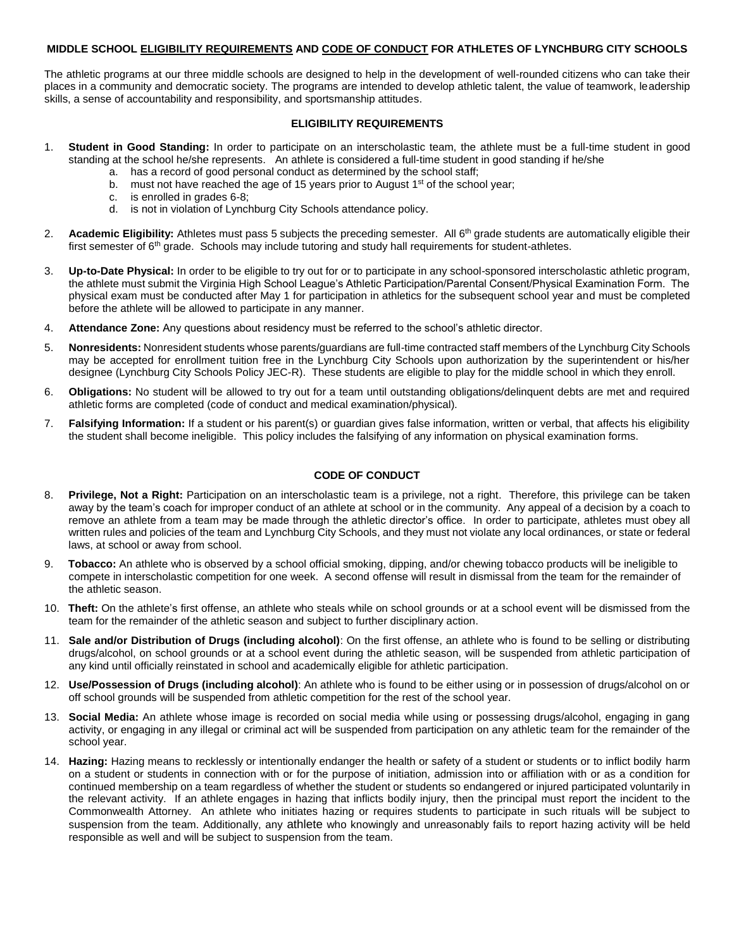## **MIDDLE SCHOOL ELIGIBILITY REQUIREMENTS AND CODE OF CONDUCT FOR ATHLETES OF LYNCHBURG CITY SCHOOLS**

The athletic programs at our three middle schools are designed to help in the development of well-rounded citizens who can take their places in a community and democratic society. The programs are intended to develop athletic talent, the value of teamwork, leadership skills, a sense of accountability and responsibility, and sportsmanship attitudes.

## **ELIGIBILITY REQUIREMENTS**

- 1. **Student in Good Standing:** In order to participate on an interscholastic team, the athlete must be a full-time student in good standing at the school he/she represents. An athlete is considered a full-time student in good standing if he/she
	- a. has a record of good personal conduct as determined by the school staff;
	- b. must not have reached the age of 15 years prior to August  $1<sup>st</sup>$  of the school year;
	- c. is enrolled in grades 6-8;
	- d. is not in violation of Lynchburg City Schools attendance policy.
- 2. **Academic Eligibility:** Athletes must pass 5 subjects the preceding semester. All 6<sup>th</sup> grade students are automatically eligible their first semester of  $6<sup>th</sup>$  grade. Schools may include tutoring and study hall requirements for student-athletes.
- 3. **Up-to-Date Physical:** In order to be eligible to try out for or to participate in any school-sponsored interscholastic athletic program, the athlete must submit the Virginia High School League's Athletic Participation/Parental Consent/Physical Examination Form. The physical exam must be conducted after May 1 for participation in athletics for the subsequent school year and must be completed before the athlete will be allowed to participate in any manner.
- 4. **Attendance Zone:** Any questions about residency must be referred to the school's athletic director.
- 5. **Nonresidents:** Nonresident students whose parents/guardians are full-time contracted staff members of the Lynchburg City Schools may be accepted for enrollment tuition free in the Lynchburg City Schools upon authorization by the superintendent or his/her designee (Lynchburg City Schools Policy JEC-R). These students are eligible to play for the middle school in which they enroll.
- 6. **Obligations:** No student will be allowed to try out for a team until outstanding obligations/delinquent debts are met and required athletic forms are completed (code of conduct and medical examination/physical).
- 7. **Falsifying Information:** If a student or his parent(s) or guardian gives false information, written or verbal, that affects his eligibility the student shall become ineligible. This policy includes the falsifying of any information on physical examination forms.

## **CODE OF CONDUCT**

- 8. **Privilege, Not a Right:** Participation on an interscholastic team is a privilege, not a right. Therefore, this privilege can be taken away by the team's coach for improper conduct of an athlete at school or in the community. Any appeal of a decision by a coach to remove an athlete from a team may be made through the athletic director's office. In order to participate, athletes must obey all written rules and policies of the team and Lynchburg City Schools, and they must not violate any local ordinances, or state or federal laws, at school or away from school.
- 9. **Tobacco:** An athlete who is observed by a school official smoking, dipping, and/or chewing tobacco products will be ineligible to compete in interscholastic competition for one week. A second offense will result in dismissal from the team for the remainder of the athletic season.
- 10. **Theft:** On the athlete's first offense, an athlete who steals while on school grounds or at a school event will be dismissed from the team for the remainder of the athletic season and subject to further disciplinary action.
- 11. **Sale and/or Distribution of Drugs (including alcohol)**: On the first offense, an athlete who is found to be selling or distributing drugs/alcohol, on school grounds or at a school event during the athletic season, will be suspended from athletic participation of any kind until officially reinstated in school and academically eligible for athletic participation.
- 12. **Use/Possession of Drugs (including alcohol)**: An athlete who is found to be either using or in possession of drugs/alcohol on or off school grounds will be suspended from athletic competition for the rest of the school year.
- 13. **Social Media:** An athlete whose image is recorded on social media while using or possessing drugs/alcohol, engaging in gang activity, or engaging in any illegal or criminal act will be suspended from participation on any athletic team for the remainder of the school year.
- 14. **Hazing:** Hazing means to recklessly or intentionally endanger the health or safety of a student or students or to inflict bodily harm on a student or students in connection with or for the purpose of initiation, admission into or affiliation with or as a condition for continued membership on a team regardless of whether the student or students so endangered or injured participated voluntarily in the relevant activity. If an athlete engages in hazing that inflicts bodily injury, then the principal must report the incident to the Commonwealth Attorney. An athlete who initiates hazing or requires students to participate in such rituals will be subject to suspension from the team. Additionally, any athlete who knowingly and unreasonably fails to report hazing activity will be held responsible as well and will be subject to suspension from the team.